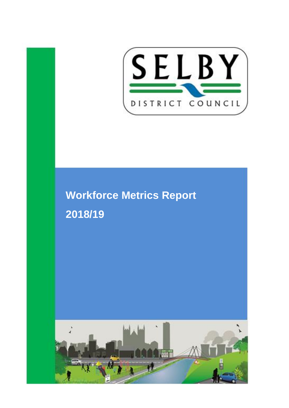

# **Workforce Metrics Report 2018/19**

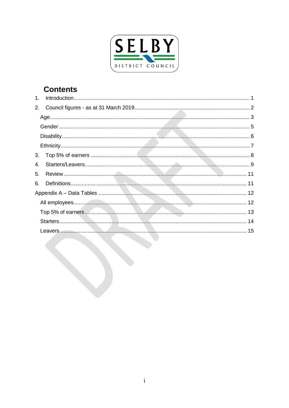

# **Contents**

| 1 <sub>1</sub> |  |
|----------------|--|
| 2.             |  |
|                |  |
|                |  |
|                |  |
|                |  |
| 3.             |  |
| 4.             |  |
| 5.             |  |
| 6.             |  |
|                |  |
|                |  |
|                |  |
|                |  |
|                |  |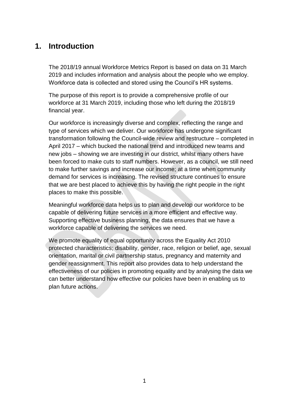## <span id="page-2-0"></span>**1. Introduction**

The 2018/19 annual Workforce Metrics Report is based on data on 31 March 2019 and includes information and analysis about the people who we employ. Workforce data is collected and stored using the Council's HR systems.

The purpose of this report is to provide a comprehensive profile of our workforce at 31 March 2019, including those who left during the 2018/19 financial year.

Our workforce is increasingly diverse and complex, reflecting the range and type of services which we deliver. Our workforce has undergone significant transformation following the Council-wide review and restructure – completed in April 2017 – which bucked the national trend and introduced new teams and new jobs – showing we are investing in our district, whilst many others have been forced to make cuts to staff numbers. However, as a council, we still need to make further savings and increase our income; at a time when community demand for services is increasing. The revised structure continues to ensure that we are best placed to achieve this by having the right people in the right places to make this possible.

Meaningful workforce data helps us to plan and develop our workforce to be capable of delivering future services in a more efficient and effective way. Supporting effective business planning, the data ensures that we have a workforce capable of delivering the services we need.

We promote equality of equal opportunity across the Equality Act 2010 protected characteristics; disability, gender, race, religion or belief, age, sexual orientation, marital or civil partnership status, pregnancy and maternity and gender reassignment. This report also provides data to help understand the effectiveness of our policies in promoting equality and by analysing the data we can better understand how effective our policies have been in enabling us to plan future actions.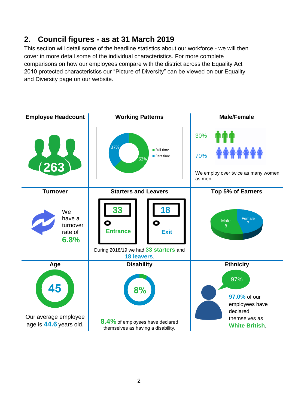## <span id="page-3-0"></span>**2. Council figures - as at 31 March 2019**

This section will detail some of the headline statistics about our workforce - we will then cover in more detail some of the individual characteristics. For more complete comparisons on how our employees compare with the district across the Equality Act 2010 protected characteristics our "Picture of Diversity" can be viewed on our Equality and Diversity page on our website.

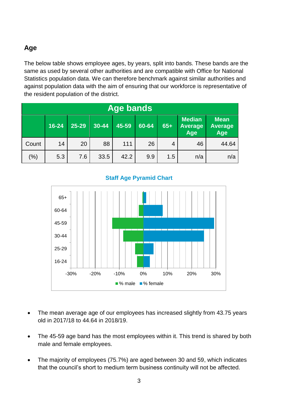#### <span id="page-4-0"></span>**Age**

The below table shows employee ages, by years, split into bands. These bands are the same as used by several other authorities and are compatible with Office for National Statistics population data. We can therefore benchmark against similar authorities and against population data with the aim of ensuring that our workforce is representative of the resident population of the district.

| <b>Age bands</b> |       |       |       |       |       |       |                                        |                                      |
|------------------|-------|-------|-------|-------|-------|-------|----------------------------------------|--------------------------------------|
|                  | 16-24 | 25-29 | 30-44 | 45-59 | 60-64 | $65+$ | <b>Median</b><br><b>Average</b><br>Age | <b>Mean</b><br><b>Average</b><br>Age |
| Count            | 14    | 20    | 88    | 111   | 26    | 4     | 46                                     | 44.64                                |
| (%)              | 5.3   | 7.6   | 33.5  | 42.2  | 9.9   | 1.5   | n/a                                    | n/a                                  |

**Staff Age Pyramid Chart**



- The mean average age of our employees has increased slightly from 43.75 years old in 2017/18 to 44.64 in 2018/19.
- The 45-59 age band has the most employees within it. This trend is shared by both male and female employees.
- The majority of employees (75.7%) are aged between 30 and 59, which indicates that the council's short to medium term business continuity will not be affected.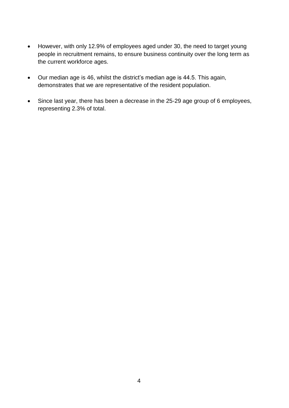- However, with only 12.9% of employees aged under 30, the need to target young people in recruitment remains, to ensure business continuity over the long term as the current workforce ages.
- Our median age is 46, whilst the district's median age is 44.5. This again, demonstrates that we are representative of the resident population.
- <span id="page-5-0"></span> Since last year, there has been a decrease in the 25-29 age group of 6 employees, representing 2.3% of total.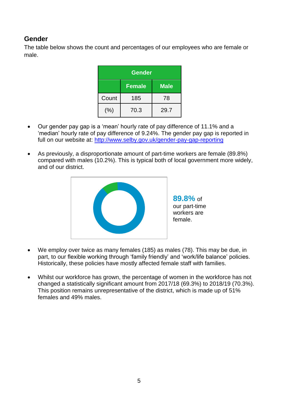#### **Gender**

The table below shows the count and percentages of our employees who are female or male.

| <b>Gender</b> |             |      |  |  |  |
|---------------|-------------|------|--|--|--|
|               | <b>Male</b> |      |  |  |  |
| Count         | 185         | 78   |  |  |  |
| (%)           | 70.3        | 29.7 |  |  |  |

- Our gender pay gap is a 'mean' hourly rate of pay difference of 11.1% and a 'median' hourly rate of pay difference of 9.24%. The gender pay gap is reported in full on our website at:<http://www.selby.gov.uk/gender-pay-gap-reporting>
- As previously, a disproportionate amount of part-time workers are female (89.8%) compared with males (10.2%). This is typical both of local government more widely, and of our district.



- We employ over twice as many females (185) as males (78). This may be due, in part, to our flexible working through 'family friendly' and 'work/life balance' policies. Historically, these policies have mostly affected female staff with families.
- Whilst our workforce has grown, the percentage of women in the workforce has not changed a statistically significant amount from 2017/18 (69.3%) to 2018/19 (70.3%). This position remains unrepresentative of the district, which is made up of 51% females and 49% males.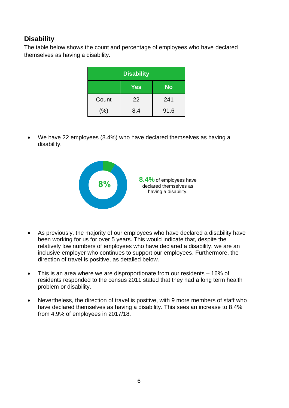#### <span id="page-7-0"></span>**Disability**

The table below shows the count and percentage of employees who have declared themselves as having a disability.

| <b>Disability</b>       |     |      |  |  |  |  |
|-------------------------|-----|------|--|--|--|--|
| <b>Yes</b><br><b>No</b> |     |      |  |  |  |  |
| Count                   | 22  | 241  |  |  |  |  |
| (%)                     | 8.4 | 91.6 |  |  |  |  |

 We have 22 employees (8.4%) who have declared themselves as having a disability.



- As previously, the majority of our employees who have declared a disability have been working for us for over 5 years. This would indicate that, despite the relatively low numbers of employees who have declared a disability, we are an inclusive employer who continues to support our employees. Furthermore, the direction of travel is positive, as detailed below.
- This is an area where we are disproportionate from our residents 16% of residents responded to the census 2011 stated that they had a long term health problem or disability.
- Nevertheless, the direction of travel is positive, with 9 more members of staff who have declared themselves as having a disability. This sees an increase to 8.4% from 4.9% of employees in 2017/18.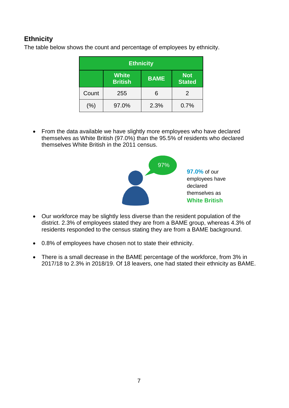#### <span id="page-8-0"></span>**Ethnicity**

The table below shows the count and percentage of employees by ethnicity.

| <b>Ethnicity</b> |                                |                             |      |  |  |  |
|------------------|--------------------------------|-----------------------------|------|--|--|--|
|                  | <b>White</b><br><b>British</b> | <b>Not</b><br><b>Stated</b> |      |  |  |  |
| Count            | 255                            | 6                           |      |  |  |  |
| (%)              | 97.0%                          | 2.3%                        | 0.7% |  |  |  |

• From the data available we have slightly more employees who have declared themselves as White British (97.0%) than the 95.5% of residents who declared themselves White British in the 2011 census.



- Our workforce may be slightly less diverse than the resident population of the district. 2.3% of employees stated they are from a BAME group, whereas 4.3% of residents responded to the census stating they are from a BAME background.
- 0.8% of employees have chosen not to state their ethnicity.
- There is a small decrease in the BAME percentage of the workforce, from 3% in 2017/18 to 2.3% in 2018/19. Of 18 leavers, one had stated their ethnicity as BAME.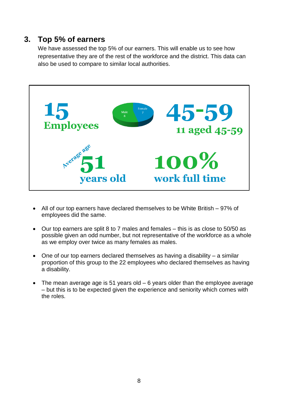#### <span id="page-9-0"></span>**3. Top 5% of earners**

We have assessed the top 5% of our earners. This will enable us to see how representative they are of the rest of the workforce and the district. This data can also be used to compare to similar local authorities.



- All of our top earners have declared themselves to be White British 97% of employees did the same.
- Our top earners are split 8 to 7 males and females this is as close to 50/50 as possible given an odd number, but not representative of the workforce as a whole as we employ over twice as many females as males.
- One of our top earners declared themselves as having a disability a similar proportion of this group to the 22 employees who declared themselves as having a disability.
- The mean average age is 51 years old 6 years older than the employee average – but this is to be expected given the experience and seniority which comes with the roles.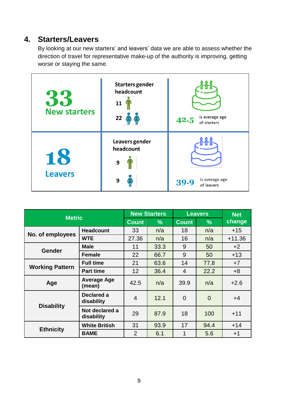#### <span id="page-10-0"></span>**4. Starters/Leavers**

By looking at our new starters' and leavers' data we are able to assess whether the direction of travel for representative make-up of the authority is improving, getting worse or staying the same.



| <b>Metric</b>          |                              | <b>New Starters</b> |               | <b>Leavers</b> |          | <b>Net</b> |
|------------------------|------------------------------|---------------------|---------------|----------------|----------|------------|
|                        |                              | <b>Count</b>        | $\frac{9}{6}$ | <b>Count</b>   | $\%$     | change     |
|                        | <b>Headcount</b>             | 33                  | n/a           | 18             | n/a      | $+15$      |
| No. of employees       | <b>WTE</b>                   | 27.36               | n/a           | 16             | n/a      | $+11.36$   |
| Gender                 | <b>Male</b>                  | 11                  | 33.3          | 9              | 50       | $+2$       |
|                        | <b>Female</b>                | 22                  | 66.7          | 9              | 50       | $+13$      |
|                        | <b>Full time</b>             | 21                  | 63.6          | 14             | 77.8     | $+7$       |
| <b>Working Pattern</b> | <b>Part time</b>             | 12                  | 36.4          | $\overline{4}$ | 22.2     | $+8$       |
| Age                    | <b>Average Age</b><br>(mean) | 42.5                | n/a           | 39.9           | n/a      | $+2.6$     |
| <b>Disability</b>      | Declared a<br>disability     | 4                   | 12.1          | $\overline{0}$ | $\Omega$ | $+4$       |
|                        | Not declared a<br>disability | 29                  | 87.9          | 18             | 100      | $+11$      |
| <b>Ethnicity</b>       | <b>White British</b>         | 31                  | 93.9          | 17             | 94.4     | $+14$      |
|                        | <b>BAME</b>                  | $\overline{2}$      | 6.1           | 1              | 5.6      | $+1$       |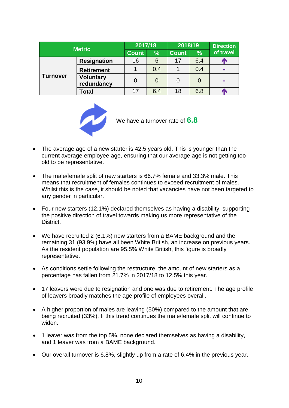| <b>Metric</b>   |                                | 2017/18      |     | 2018/19      |     | <b>Direction</b> |  |
|-----------------|--------------------------------|--------------|-----|--------------|-----|------------------|--|
|                 |                                | <b>Count</b> | %   | <b>Count</b> | %   | of travel        |  |
| <b>Turnover</b> | <b>Resignation</b>             | 16           | 6   | 17           | 6.4 |                  |  |
|                 | <b>Retirement</b>              |              | 0.4 |              | 0.4 |                  |  |
|                 | <b>Voluntary</b><br>redundancy |              |     |              | 0   |                  |  |
|                 | Total                          | 17           | 6.4 | 18           | 6.8 |                  |  |



We have a turnover rate of **6.8**

- The average age of a new starter is 42.5 years old. This is younger than the current average employee age, ensuring that our average age is not getting too old to be representative.
- The male/female split of new starters is 66.7% female and 33.3% male. This means that recruitment of females continues to exceed recruitment of males. Whilst this is the case, it should be noted that vacancies have not been targeted to any gender in particular.
- Four new starters (12.1%) declared themselves as having a disability, supporting the positive direction of travel towards making us more representative of the District.
- We have recruited 2 (6.1%) new starters from a BAME background and the remaining 31 (93.9%) have all been White British, an increase on previous years. As the resident population are 95.5% White British, this figure is broadly representative.
- As conditions settle following the restructure, the amount of new starters as a percentage has fallen from 21.7% in 2017/18 to 12.5% this year.
- 17 leavers were due to resignation and one was due to retirement. The age profile of leavers broadly matches the age profile of employees overall.
- A higher proportion of males are leaving (50%) compared to the amount that are being recruited (33%). If this trend continues the male/female split will continue to widen.
- 1 leaver was from the top 5%, none declared themselves as having a disability, and 1 leaver was from a BAME background.
- Our overall turnover is 6.8%, slightly up from a rate of 6.4% in the previous year.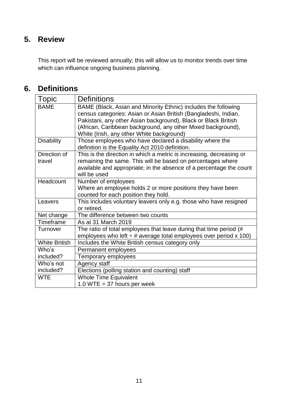## <span id="page-12-0"></span>**5. Review**

This report will be reviewed annually; this will allow us to monitor trends over time which can influence ongoing business planning.

## <span id="page-12-1"></span>**6. Definitions**

| <b>Topic</b>         | <b>Definitions</b>                                                     |
|----------------------|------------------------------------------------------------------------|
| <b>BAME</b>          | BAME (Black, Asian and Minority Ethnic) includes the following         |
|                      | census categories: Asian or Asian British (Bangladeshi, Indian,        |
|                      | Pakistani, any other Asian background), Black or Black British         |
|                      | (African, Caribbean background, any other Mixed background),           |
|                      | White (Irish, any other White background)                              |
| <b>Disability</b>    | Those employees who have declared a disability where the               |
|                      | definition is the Equality Act 2010 definition.                        |
| Direction of         | This is the direction in which a metric is increasing, decreasing or   |
| travel               | remaining the same. This will be based on percentages where            |
|                      | available and appropriate; in the absence of a percentage the count    |
|                      | will be used                                                           |
| Headcount            | Number of employees                                                    |
|                      | Where an employee holds 2 or more positions they have been             |
|                      | counted for each position they hold.                                   |
| Leavers              | This includes voluntary leavers only e.g. those who have resigned      |
|                      | or retired.                                                            |
| Net change           | The difference between two counts                                      |
| Timeframe            | As at 31 March 2019                                                    |
| Turnover             | The ratio of total employees that leave during that time period (#     |
|                      | employees who left $\div$ # average total employees over period x 100) |
| <b>White British</b> | Includes the White British census category only                        |
| Who's                | Permanent employees                                                    |
| included?            | Temporary employees                                                    |
| Who's not            | Agency staff                                                           |
| included?            | Elections (polling station and counting) staff                         |
| <b>WTE</b>           | <b>Whole Time Equivalent</b>                                           |
|                      | 1.0 WTE = 37 hours per week                                            |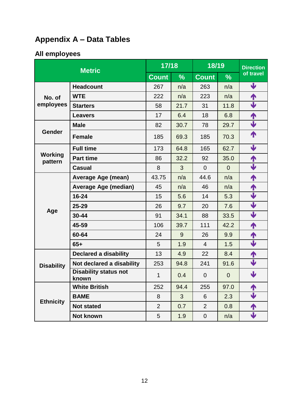# <span id="page-13-0"></span>**Appendix A – Data Tables**

# <span id="page-13-1"></span>**All employees**

| <b>Metric</b>             |                                       | 17/18          |               | 18/19          |                  | <b>Direction</b>        |
|---------------------------|---------------------------------------|----------------|---------------|----------------|------------------|-------------------------|
|                           |                                       |                | $\frac{9}{6}$ | <b>Count</b>   | $\frac{9}{6}$    | of travel               |
|                           | <b>Headcount</b>                      | 267            | n/a           | 263            | n/a              | $\overline{\mathbf{V}}$ |
| No. of                    | <b>WTE</b>                            | 222            | n/a           | 223            | n/a              | ↑                       |
| employees                 | <b>Starters</b>                       | 58             | 21.7          | 31             | 11.8             | $\blacklozenge$         |
|                           | <b>Leavers</b>                        | 17             | 6.4           | 18             | 6.8              | ↑                       |
|                           | <b>Male</b>                           | 82             | 30.7          | 78             | 29.7             | $\blacklozenge$         |
| <b>Gender</b>             | <b>Female</b>                         | 185            | 69.3          | 185            | 70.3             | ↑                       |
|                           | <b>Full time</b>                      | 173            | 64.8          | 165            | 62.7             | $\blacklozenge$         |
| <b>Working</b><br>pattern | <b>Part time</b>                      | 86             | 32.2          | 92             | 35.0             | 个                       |
|                           | <b>Casual</b>                         | 8              | 3             | $\mathbf 0$    | $\overline{0}$   | $\blacklozenge$         |
|                           | <b>Average Age (mean)</b>             | 43.75          | n/a           | 44.6           | n/a              | ↑                       |
|                           | <b>Average Age (median)</b>           | 45             | n/a           | 46             | n/a              | 1                       |
|                           | $16 - 24$                             | 15             | 5.6           | 14             | 5.3              | $\blacklozenge$         |
|                           | 25-29                                 | 26             | 9.7           | 20             | 7.6              | $\blacklozenge$         |
| Age                       | $30 - 44$                             | 91             | 34.1          | 88             | 33.5             | $\blacklozenge$         |
|                           | 45-59                                 | 106            | 39.7          | 111            | 42.2             | ↑                       |
|                           | 60-64                                 | 24             | 9             | 26             | 9.9              | ↑                       |
|                           | $65+$                                 | 5              | 1.9           | $\overline{4}$ | 1.5              | $\blacklozenge$         |
|                           | <b>Declared a disability</b>          | 13             | 4.9           | 22             | 8.4              | ↑                       |
| <b>Disability</b>         | Not declared a disability             | 253            | 94.8          | 241            | 91.6             | $\overline{\mathbf{V}}$ |
|                           | <b>Disability status not</b><br>known | $\mathbf 1$    | 0.4           | $\overline{0}$ | $\boldsymbol{0}$ | $\blacklozenge$         |
|                           | <b>White British</b>                  | 252            | 94.4          | 255            | 97.0             | ↑                       |
|                           | <b>BAME</b>                           | 8              | $\mathbf{3}$  | 6              | 2.3              | $\blacklozenge$         |
| <b>Ethnicity</b>          | <b>Not stated</b>                     | $\overline{2}$ | 0.7           | 2              | 0.8              | 1                       |
|                           | Not known                             | 5              | 1.9           | $\overline{0}$ | n/a              | $\blacktriangledown$    |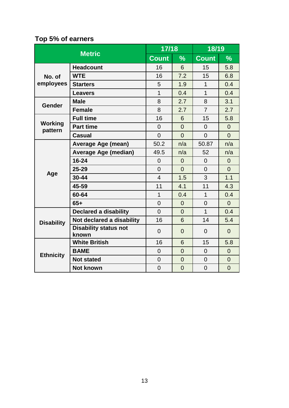## <span id="page-14-0"></span>**Top 5% of earners**

| <b>Metric</b>             |                                       | 17/18          |                | 18/19          |                |
|---------------------------|---------------------------------------|----------------|----------------|----------------|----------------|
|                           |                                       | <b>Count</b>   | $\frac{0}{0}$  | <b>Count</b>   | $\frac{0}{0}$  |
|                           | <b>Headcount</b>                      | 16             | 6              | 15             | 5.8            |
| No. of                    | <b>WTE</b>                            | 16             | 7.2            | 15             | 6.8            |
| employees                 | <b>Starters</b>                       | 5              | 1.9            | 1              | 0.4            |
|                           | <b>Leavers</b>                        | $\overline{1}$ | 0.4            | 1              | 0.4            |
| <b>Gender</b>             | <b>Male</b>                           | 8              | 2.7            | 8              | 3.1            |
|                           | <b>Female</b>                         | 8              | 2.7            | $\overline{7}$ | 2.7            |
|                           | <b>Full time</b>                      | 16             | 6              | 15             | 5.8            |
| <b>Working</b><br>pattern | <b>Part time</b>                      | $\overline{0}$ | $\overline{0}$ | $\overline{0}$ | $\overline{0}$ |
|                           | <b>Casual</b>                         | $\overline{0}$ | $\overline{0}$ | $\overline{0}$ | $\overline{0}$ |
|                           | <b>Average Age (mean)</b>             | 50.2           | n/a            | 50.87          | n/a            |
|                           | <b>Average Age (median)</b>           | 49.5           | n/a            | 52             | n/a            |
|                           | 16-24                                 | $\overline{0}$ | $\overline{0}$ | $\overline{0}$ | $\overline{0}$ |
| Age                       | 25-29                                 | $\overline{0}$ | $\overline{0}$ | $\overline{0}$ | $\overline{0}$ |
|                           | 30-44                                 | $\overline{4}$ | 1.5            | 3              | 1.1            |
|                           | 45-59                                 | 11             | 4.1            | 11             | 4.3            |
|                           | 60-64                                 | $\mathbf 1$    | 0.4            | 1              | 0.4            |
|                           | $65+$                                 | $\overline{0}$ | $\overline{0}$ | $\overline{0}$ | $\overline{0}$ |
|                           | <b>Declared a disability</b>          | $\overline{0}$ | $\overline{0}$ | 1              | 0.4            |
| <b>Disability</b>         | Not declared a disability             | 16             | 6              | 14             | 5.4            |
|                           | <b>Disability status not</b><br>known | $\overline{0}$ | $\overline{0}$ | $\overline{0}$ | $\overline{0}$ |
|                           | <b>White British</b>                  | 16             | 6              | 15             | 5.8            |
| <b>Ethnicity</b>          | <b>BAME</b>                           | $\overline{0}$ | $\overline{0}$ | $\overline{0}$ | $\overline{0}$ |
|                           | <b>Not stated</b>                     | $\overline{0}$ | $\overline{0}$ | $\overline{0}$ | $\overline{0}$ |
|                           | <b>Not known</b>                      | $\overline{0}$ | $\overline{0}$ | $\overline{0}$ | $\overline{0}$ |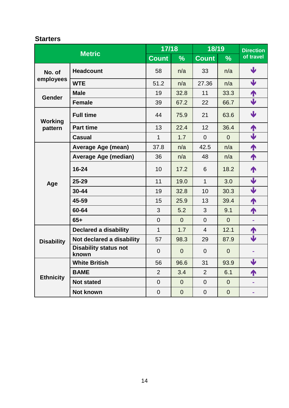#### <span id="page-15-0"></span>**Starters**

<span id="page-15-1"></span>

|                   |                                       | 17/18          |                | 18/19          |                | <b>Direction</b>        |
|-------------------|---------------------------------------|----------------|----------------|----------------|----------------|-------------------------|
|                   | <b>Metric</b>                         | <b>Count</b>   | $\frac{0}{0}$  | <b>Count</b>   | $\frac{9}{6}$  | of travel               |
| No. of            | <b>Headcount</b>                      | 58             | n/a            | 33             | n/a            | $\blacklozenge$         |
| employees         | <b>WTE</b>                            | 51.2           | n/a            | 27.36          | n/a            | $\blacklozenge$         |
| <b>Gender</b>     | <b>Male</b>                           | 19             | 32.8           | 11             | 33.3           | 1                       |
|                   | <b>Female</b>                         | 39             | 67.2           | 22             | 66.7           | $\blacklozenge$         |
| <b>Working</b>    | <b>Full time</b>                      | 44             | 75.9           | 21             | 63.6           | $\blacklozenge$         |
| pattern           | <b>Part time</b>                      | 13             | 22.4           | 12             | 36.4           | ↑                       |
|                   | <b>Casual</b>                         | $\mathbf{1}$   | 1.7            | $\overline{0}$ | $\overline{0}$ | $\blacklozenge$         |
|                   | <b>Average Age (mean)</b>             | 37.8           | n/a            | 42.5           | n/a            | ↑                       |
|                   | <b>Average Age (median)</b>           | 36             | n/a            | 48             | n/a            | ↑                       |
|                   | $16 - 24$                             | 10             | 17.2           | 6              | 18.2           | 1                       |
| Age               | 25-29                                 | 11             | 19.0           | $\mathbf{1}$   | 3.0            | $\blacklozenge$         |
|                   | $30 - 44$                             | 19             | 32.8           | 10             | 30.3           | $\blacklozenge$         |
|                   | 45-59                                 | 15             | 25.9           | 13             | 39.4           | ↑                       |
|                   | 60-64                                 | 3              | 5.2            | 3              | 9.1            | ↑                       |
|                   | $65+$                                 | $\mathbf 0$    | $\overline{0}$ | $\overline{0}$ | $\Omega$       |                         |
|                   | <b>Declared a disability</b>          | $\mathbf{1}$   | 1.7            | $\overline{4}$ | 12.1           | $\frac{1}{1}$           |
| <b>Disability</b> | Not declared a disability             | 57             | 98.3           | 29             | 87.9           |                         |
|                   | <b>Disability status not</b><br>known | $\overline{0}$ | $\overline{0}$ | $\overline{0}$ | $\overline{0}$ |                         |
|                   | <b>White British</b>                  | 56             | 96.6           | 31             | 93.9           | $\overline{\mathbf{V}}$ |
| <b>Ethnicity</b>  | <b>BAME</b>                           | $\overline{2}$ | 3.4            | $\overline{2}$ | 6.1            | ↑                       |
|                   | <b>Not stated</b>                     | $\mathbf 0$    | $\overline{0}$ | $\overline{0}$ | $\overline{0}$ |                         |
|                   | <b>Not known</b>                      | $\mathbf 0$    | $\mathbf 0$    | $\mathbf 0$    | $\mathbf 0$    | ÷,                      |